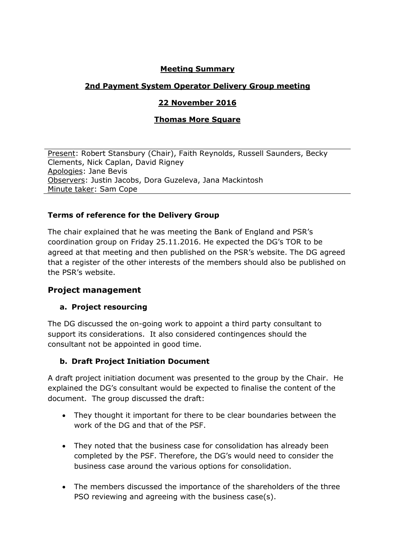### **Meeting Summary**

## **2nd Payment System Operator Delivery Group meeting**

### **22 November 2016**

#### **Thomas More Square**

Present: Robert Stansbury (Chair), Faith Reynolds, Russell Saunders, Becky Clements, Nick Caplan, David Rigney Apologies: Jane Bevis Observers: Justin Jacobs, Dora Guzeleva, Jana Mackintosh Minute taker: Sam Cope

#### **Terms of reference for the Delivery Group**

The chair explained that he was meeting the Bank of England and PSR's coordination group on Friday 25.11.2016. He expected the DG's TOR to be agreed at that meeting and then published on the PSR's website. The DG agreed that a register of the other interests of the members should also be published on the PSR's website.

#### **Project management**

#### **a. Project resourcing**

The DG discussed the on-going work to appoint a third party consultant to support its considerations. It also considered contingences should the consultant not be appointed in good time.

#### **b. Draft Project Initiation Document**

A draft project initiation document was presented to the group by the Chair. He explained the DG's consultant would be expected to finalise the content of the document. The group discussed the draft:

- They thought it important for there to be clear boundaries between the work of the DG and that of the PSF.
- They noted that the business case for consolidation has already been completed by the PSF. Therefore, the DG's would need to consider the business case around the various options for consolidation.
- The members discussed the importance of the shareholders of the three PSO reviewing and agreeing with the business case(s).